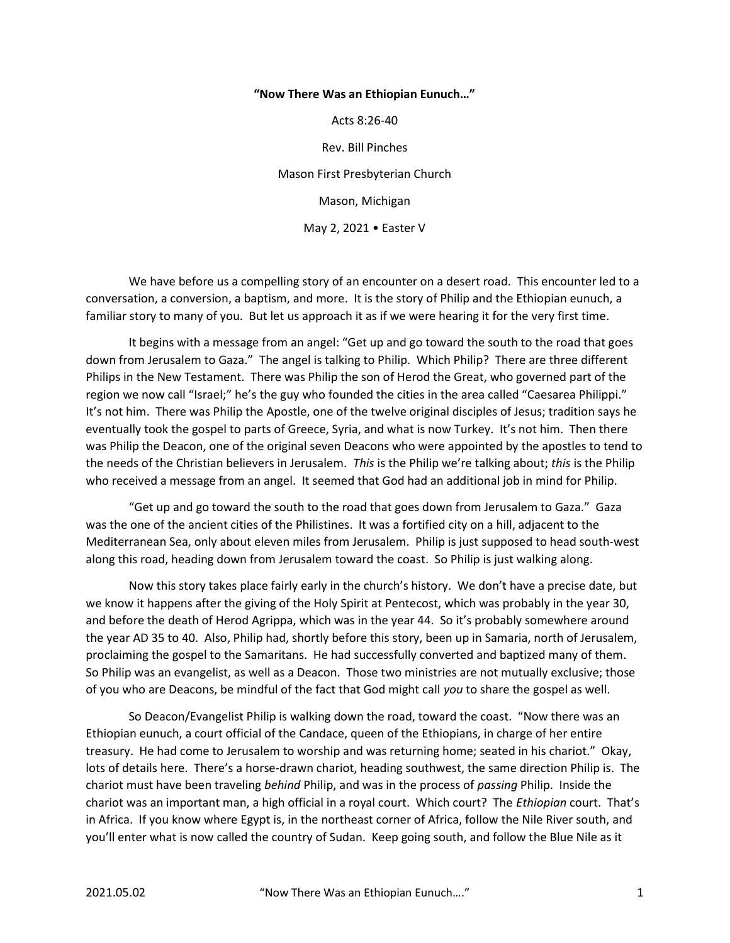## "Now There Was an Ethiopian Eunuch…"

Acts 8:26-40

Rev. Bill Pinches

Mason First Presbyterian Church

Mason, Michigan

May 2, 2021 • Easter V

 We have before us a compelling story of an encounter on a desert road. This encounter led to a conversation, a conversion, a baptism, and more. It is the story of Philip and the Ethiopian eunuch, a familiar story to many of you. But let us approach it as if we were hearing it for the very first time.

 It begins with a message from an angel: "Get up and go toward the south to the road that goes down from Jerusalem to Gaza." The angel is talking to Philip. Which Philip? There are three different Philips in the New Testament. There was Philip the son of Herod the Great, who governed part of the region we now call "Israel;" he's the guy who founded the cities in the area called "Caesarea Philippi." It's not him. There was Philip the Apostle, one of the twelve original disciples of Jesus; tradition says he eventually took the gospel to parts of Greece, Syria, and what is now Turkey. It's not him. Then there was Philip the Deacon, one of the original seven Deacons who were appointed by the apostles to tend to the needs of the Christian believers in Jerusalem. This is the Philip we're talking about; this is the Philip who received a message from an angel. It seemed that God had an additional job in mind for Philip.

 "Get up and go toward the south to the road that goes down from Jerusalem to Gaza." Gaza was the one of the ancient cities of the Philistines. It was a fortified city on a hill, adjacent to the Mediterranean Sea, only about eleven miles from Jerusalem. Philip is just supposed to head south-west along this road, heading down from Jerusalem toward the coast. So Philip is just walking along.

Now this story takes place fairly early in the church's history. We don't have a precise date, but we know it happens after the giving of the Holy Spirit at Pentecost, which was probably in the year 30, and before the death of Herod Agrippa, which was in the year 44. So it's probably somewhere around the year AD 35 to 40. Also, Philip had, shortly before this story, been up in Samaria, north of Jerusalem, proclaiming the gospel to the Samaritans. He had successfully converted and baptized many of them. So Philip was an evangelist, as well as a Deacon. Those two ministries are not mutually exclusive; those of you who are Deacons, be mindful of the fact that God might call you to share the gospel as well.

 So Deacon/Evangelist Philip is walking down the road, toward the coast. "Now there was an Ethiopian eunuch, a court official of the Candace, queen of the Ethiopians, in charge of her entire treasury. He had come to Jerusalem to worship and was returning home; seated in his chariot." Okay, lots of details here. There's a horse-drawn chariot, heading southwest, the same direction Philip is. The chariot must have been traveling behind Philip, and was in the process of passing Philip. Inside the chariot was an important man, a high official in a royal court. Which court? The Ethiopian court. That's in Africa. If you know where Egypt is, in the northeast corner of Africa, follow the Nile River south, and you'll enter what is now called the country of Sudan. Keep going south, and follow the Blue Nile as it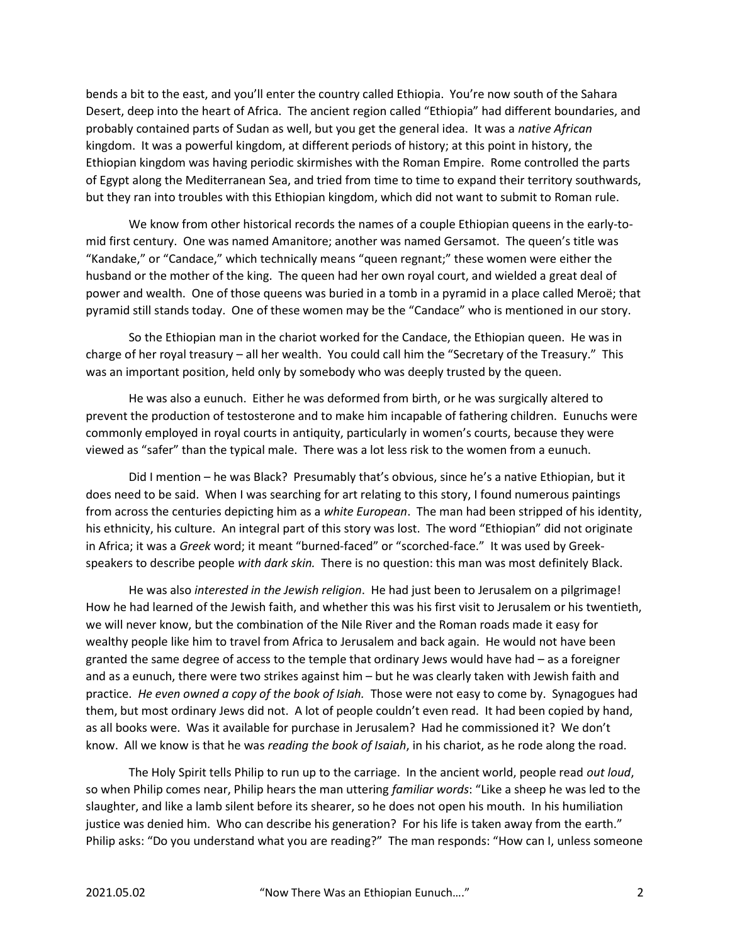bends a bit to the east, and you'll enter the country called Ethiopia. You're now south of the Sahara Desert, deep into the heart of Africa. The ancient region called "Ethiopia" had different boundaries, and probably contained parts of Sudan as well, but you get the general idea. It was a native African kingdom. It was a powerful kingdom, at different periods of history; at this point in history, the Ethiopian kingdom was having periodic skirmishes with the Roman Empire. Rome controlled the parts of Egypt along the Mediterranean Sea, and tried from time to time to expand their territory southwards, but they ran into troubles with this Ethiopian kingdom, which did not want to submit to Roman rule.

 We know from other historical records the names of a couple Ethiopian queens in the early-tomid first century. One was named Amanitore; another was named Gersamot. The queen's title was "Kandake," or "Candace," which technically means "queen regnant;" these women were either the husband or the mother of the king. The queen had her own royal court, and wielded a great deal of power and wealth. One of those queens was buried in a tomb in a pyramid in a place called Meroë; that pyramid still stands today. One of these women may be the "Candace" who is mentioned in our story.

 So the Ethiopian man in the chariot worked for the Candace, the Ethiopian queen. He was in charge of her royal treasury – all her wealth. You could call him the "Secretary of the Treasury." This was an important position, held only by somebody who was deeply trusted by the queen.

 He was also a eunuch. Either he was deformed from birth, or he was surgically altered to prevent the production of testosterone and to make him incapable of fathering children. Eunuchs were commonly employed in royal courts in antiquity, particularly in women's courts, because they were viewed as "safer" than the typical male. There was a lot less risk to the women from a eunuch.

 Did I mention – he was Black? Presumably that's obvious, since he's a native Ethiopian, but it does need to be said. When I was searching for art relating to this story, I found numerous paintings from across the centuries depicting him as a white European. The man had been stripped of his identity, his ethnicity, his culture. An integral part of this story was lost. The word "Ethiopian" did not originate in Africa; it was a Greek word; it meant "burned-faced" or "scorched-face." It was used by Greekspeakers to describe people with dark skin. There is no question: this man was most definitely Black.

He was also interested in the Jewish religion. He had just been to Jerusalem on a pilgrimage! How he had learned of the Jewish faith, and whether this was his first visit to Jerusalem or his twentieth, we will never know, but the combination of the Nile River and the Roman roads made it easy for wealthy people like him to travel from Africa to Jerusalem and back again. He would not have been granted the same degree of access to the temple that ordinary Jews would have had – as a foreigner and as a eunuch, there were two strikes against him – but he was clearly taken with Jewish faith and practice. He even owned a copy of the book of Isiah. Those were not easy to come by. Synagogues had them, but most ordinary Jews did not. A lot of people couldn't even read. It had been copied by hand, as all books were. Was it available for purchase in Jerusalem? Had he commissioned it? We don't know. All we know is that he was reading the book of Isaiah, in his chariot, as he rode along the road.

The Holy Spirit tells Philip to run up to the carriage. In the ancient world, people read out loud, so when Philip comes near, Philip hears the man uttering familiar words: "Like a sheep he was led to the slaughter, and like a lamb silent before its shearer, so he does not open his mouth. In his humiliation justice was denied him. Who can describe his generation? For his life is taken away from the earth." Philip asks: "Do you understand what you are reading?" The man responds: "How can I, unless someone